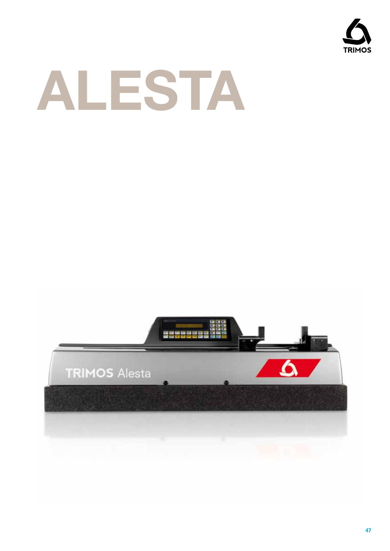



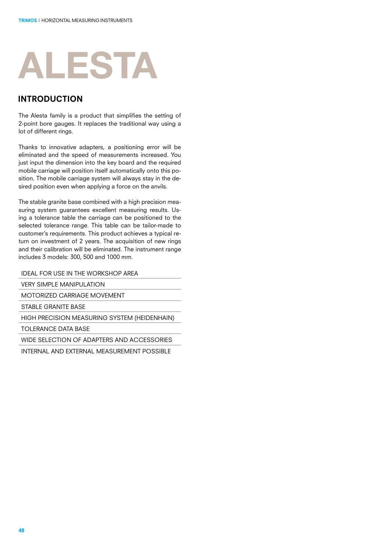# **ALESTA**

#### introduction

The Alesta family is a product that simplifies the setting of 2-point bore gauges. It replaces the traditional way using a lot of different rings.

Thanks to innovative adapters, a positioning error will be eliminated and the speed of measurements increased. You just input the dimension into the key board and the required mobile carriage will position itself automatically onto this position. The mobile carriage system will always stay in the desired position even when applying a force on the anvils.

The stable granite base combined with a high precision measuring system guarantees excellent measuring results. Using a tolerance table the carriage can be positioned to the selected tolerance range. This table can be tailor-made to customer's requirements. This product achieves a typical return on investment of 2 years. The acquisition of new rings and their calibration will be eliminated. The instrument range includes 3 models: 300, 500 and 1000 mm.

IDEAL FOR USE IN THE WORKSHOP AREA

**VERY SIMPLE MANIPULATION** 

MOTORIZED CARRIAGE MOVEMENT

STABLE GRANITE BASE

HIGH PRECISION MEASURING SYSTEM (HEIDENHAIN)

TOLERANCE DATA BASE

WIDE SELECTION OF ADAPTERS AND ACCESSORIES

INTERNAL AND EXTERNAL MEASUREMENT POSSIBLE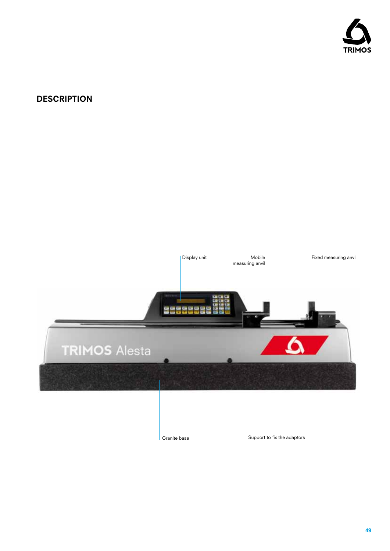

# **DESCRIPTION**

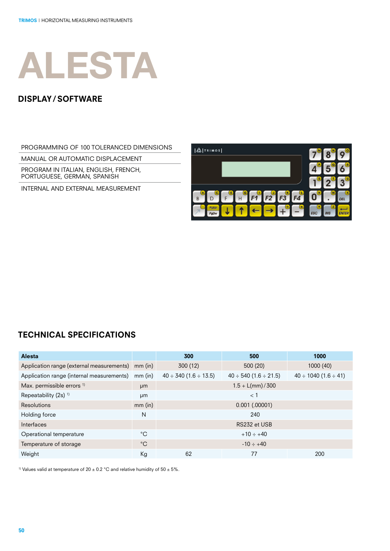

#### display/ software

PROGRAMMING OF 100 TOLERANCED DIMENSIONS

MANUAL OR AUTOMATIC DISPLACEMENT

PROGRAM IN ITALIAN, ENGLISH, FRENCH, PORTUGUESE, GERMAN, SPANISH

INTERNAL AND EXTERNAL MEASUREMENT



### technical specifications

| <b>Alesta</b>                                     |             | 300                             | 500                           | 1000                            |
|---------------------------------------------------|-------------|---------------------------------|-------------------------------|---------------------------------|
| Application range (external measurements) mm (in) |             | 300 (12)                        | 500(20)                       | 1000 (40)                       |
| Application range (internal measurements)         | $mm$ (in)   | $40 \div 340$ (1.6 $\div$ 13.5) | $40 \div 540 (1.6 \div 21.5)$ | $40 \div 1040$ (1.6 $\div 41$ ) |
| Max. permissible errors <sup>1)</sup>             | µm          |                                 | $1.5 + L/mm$ / 300            |                                 |
| Repeatability (2s) <sup>1)</sup>                  | µm          |                                 | $<$ 1                         |                                 |
| <b>Resolutions</b>                                | $mm$ (in)   |                                 | $0.001$ (.00001)              |                                 |
| Holding force                                     | N           |                                 | 240                           |                                 |
| Interfaces                                        |             |                                 | RS232 et USB                  |                                 |
| Operational temperature                           | °C          |                                 | $+10 \div +40$                |                                 |
| Temperature of storage                            | $^{\circ}C$ |                                 | $-10 \div +40$                |                                 |
| Weight                                            | Кg          | 62                              | 77                            | 200                             |

<sup>1)</sup> Values valid at temperature of 20  $\pm$  0.2 °C and relative humidity of 50  $\pm$  5%.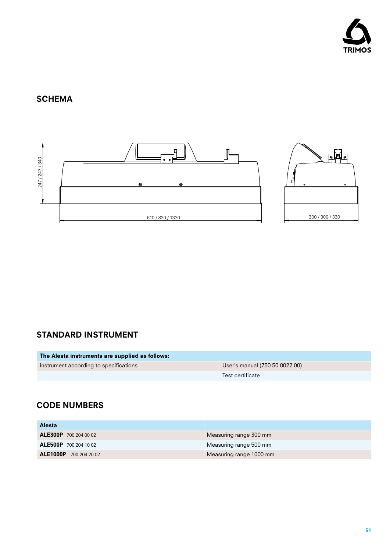

# **SCHEMA**



# standard instrument

| The Alesta instruments are supplied as follows: |                                |
|-------------------------------------------------|--------------------------------|
| Instrument according to specifications          | User's manual (750 50 0022 00) |
|                                                 | Test certificate               |

# CODE NUMBERs

| <b>Alesta</b>                 |                         |
|-------------------------------|-------------------------|
| <b>ALE300P</b> 700 204 00 02  | Measuring range 300 mm  |
| <b>ALE500P</b> 700 204 10 02  | Measuring range 500 mm  |
| <b>ALE1000P</b> 700 204 20 02 | Measuring range 1000 mm |